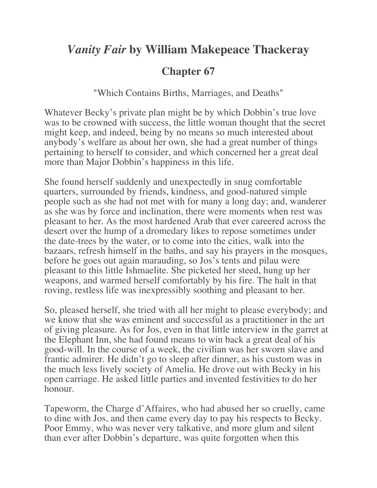## *Vanity Fair* **by William Makepeace Thackeray**

## **Chapter 67**

"Which Contains Births, Marriages, and Deaths"

Whatever Becky's private plan might be by which Dobbin's true love was to be crowned with success, the little woman thought that the secret might keep, and indeed, being by no means so much interested about anybody's welfare as about her own, she had a great number of things pertaining to herself to consider, and which concerned her a great deal more than Major Dobbin's happiness in this life.

She found herself suddenly and unexpectedly in snug comfortable quarters, surrounded by friends, kindness, and good-natured simple people such as she had not met with for many a long day; and, wanderer as she was by force and inclination, there were moments when rest was pleasant to her. As the most hardened Arab that ever careered across the desert over the hump of a dromedary likes to repose sometimes under the date-trees by the water, or to come into the cities, walk into the bazaars, refresh himself in the baths, and say his prayers in the mosques, before he goes out again marauding, so Jos's tents and pilau were pleasant to this little Ishmaelite. She picketed her steed, hung up her weapons, and warmed herself comfortably by his fire. The halt in that roving, restless life was inexpressibly soothing and pleasant to her.

So, pleased herself, she tried with all her might to please everybody; and we know that she was eminent and successful as a practitioner in the art of giving pleasure. As for Jos, even in that little interview in the garret at the Elephant Inn, she had found means to win back a great deal of his good-will. In the course of a week, the civilian was her sworn slave and frantic admirer. He didn't go to sleep after dinner, as his custom was in the much less lively society of Amelia. He drove out with Becky in his open carriage. He asked little parties and invented festivities to do her honour.

Tapeworm, the Charge d'Affaires, who had abused her so cruelly, came to dine with Jos, and then came every day to pay his respects to Becky. Poor Emmy, who was never very talkative, and more glum and silent than ever after Dobbin's departure, was quite forgotten when this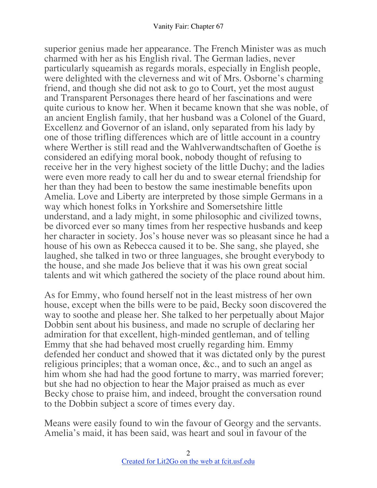superior genius made her appearance. The French Minister was as much charmed with her as his English rival. The German ladies, never particularly squeamish as regards morals, especially in English people, were delighted with the cleverness and wit of Mrs. Osborne's charming friend, and though she did not ask to go to Court, yet the most august and Transparent Personages there heard of her fascinations and were quite curious to know her. When it became known that she was noble, of an ancient English family, that her husband was a Colonel of the Guard, Excellenz and Governor of an island, only separated from his lady by one of those trifling differences which are of little account in a country where Werther is still read and the Wahlverwandtschaften of Goethe is considered an edifying moral book, nobody thought of refusing to receive her in the very highest society of the little Duchy; and the ladies were even more ready to call her du and to swear eternal friendship for her than they had been to bestow the same inestimable benefits upon Amelia. Love and Liberty are interpreted by those simple Germans in a way which honest folks in Yorkshire and Somersetshire little understand, and a lady might, in some philosophic and civilized towns, be divorced ever so many times from her respective husbands and keep her character in society. Jos's house never was so pleasant since he had a house of his own as Rebecca caused it to be. She sang, she played, she laughed, she talked in two or three languages, she brought everybody to the house, and she made Jos believe that it was his own great social talents and wit which gathered the society of the place round about him.

As for Emmy, who found herself not in the least mistress of her own house, except when the bills were to be paid, Becky soon discovered the way to soothe and please her. She talked to her perpetually about Major Dobbin sent about his business, and made no scruple of declaring her admiration for that excellent, high-minded gentleman, and of telling Emmy that she had behaved most cruelly regarding him. Emmy defended her conduct and showed that it was dictated only by the purest religious principles; that a woman once, &c., and to such an angel as him whom she had had the good fortune to marry, was married forever; but she had no objection to hear the Major praised as much as ever Becky chose to praise him, and indeed, brought the conversation round to the Dobbin subject a score of times every day.

Means were easily found to win the favour of Georgy and the servants. Amelia's maid, it has been said, was heart and soul in favour of the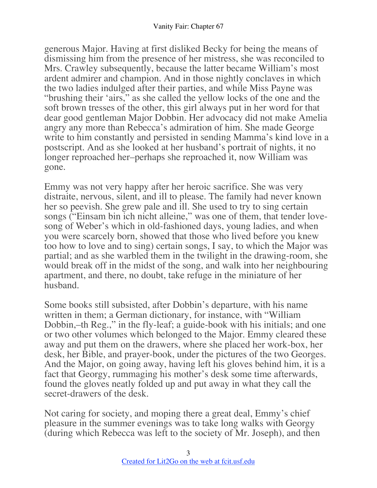generous Major. Having at first disliked Becky for being the means of dismissing him from the presence of her mistress, she was reconciled to Mrs. Crawley subsequently, because the latter became William's most ardent admirer and champion. And in those nightly conclaves in which the two ladies indulged after their parties, and while Miss Payne was "brushing their 'airs," as she called the yellow locks of the one and the soft brown tresses of the other, this girl always put in her word for that dear good gentleman Major Dobbin. Her advocacy did not make Amelia angry any more than Rebecca's admiration of him. She made George write to him constantly and persisted in sending Mamma's kind love in a postscript. And as she looked at her husband's portrait of nights, it no longer reproached her–perhaps she reproached it, now William was gone.

Emmy was not very happy after her heroic sacrifice. She was very distraite, nervous, silent, and ill to please. The family had never known her so peevish. She grew pale and ill. She used to try to sing certain songs ("Einsam bin ich nicht alleine," was one of them, that tender lovesong of Weber's which in old-fashioned days, young ladies, and when you were scarcely born, showed that those who lived before you knew too how to love and to sing) certain songs, I say, to which the Major was partial; and as she warbled them in the twilight in the drawing-room, she would break off in the midst of the song, and walk into her neighbouring apartment, and there, no doubt, take refuge in the miniature of her husband.

Some books still subsisted, after Dobbin's departure, with his name written in them; a German dictionary, for instance, with "William Dobbin,–th Reg.," in the fly-leaf; a guide-book with his initials; and one or two other volumes which belonged to the Major. Emmy cleared these away and put them on the drawers, where she placed her work-box, her desk, her Bible, and prayer-book, under the pictures of the two Georges. And the Major, on going away, having left his gloves behind him, it is a fact that Georgy, rummaging his mother's desk some time afterwards, found the gloves neatly folded up and put away in what they call the secret-drawers of the desk.

Not caring for society, and moping there a great deal, Emmy's chief pleasure in the summer evenings was to take long walks with Georgy (during which Rebecca was left to the society of Mr. Joseph), and then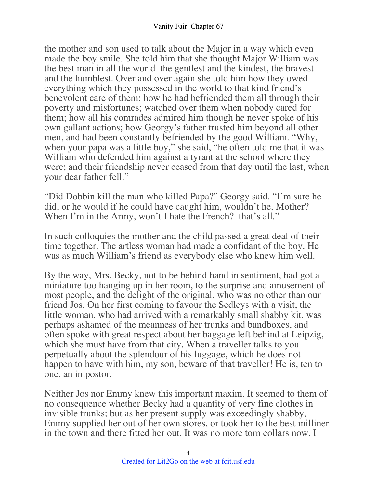the mother and son used to talk about the Major in a way which even made the boy smile. She told him that she thought Major William was the best man in all the world–the gentlest and the kindest, the bravest and the humblest. Over and over again she told him how they owed everything which they possessed in the world to that kind friend's benevolent care of them; how he had befriended them all through their poverty and misfortunes; watched over them when nobody cared for them; how all his comrades admired him though he never spoke of his own gallant actions; how Georgy's father trusted him beyond all other men, and had been constantly befriended by the good William. "Why, when your papa was a little boy," she said, "he often told me that it was William who defended him against a tyrant at the school where they were; and their friendship never ceased from that day until the last, when your dear father fell."

"Did Dobbin kill the man who killed Papa?" Georgy said. "I'm sure he did, or he would if he could have caught him, wouldn't he, Mother? When I'm in the Army, won't I hate the French?–that's all."

In such colloquies the mother and the child passed a great deal of their time together. The artless woman had made a confidant of the boy. He was as much William's friend as everybody else who knew him well.

By the way, Mrs. Becky, not to be behind hand in sentiment, had got a miniature too hanging up in her room, to the surprise and amusement of most people, and the delight of the original, who was no other than our friend Jos. On her first coming to favour the Sedleys with a visit, the little woman, who had arrived with a remarkably small shabby kit, was perhaps ashamed of the meanness of her trunks and bandboxes, and often spoke with great respect about her baggage left behind at Leipzig, which she must have from that city. When a traveller talks to you perpetually about the splendour of his luggage, which he does not happen to have with him, my son, beware of that traveller! He is, ten to one, an impostor.

Neither Jos nor Emmy knew this important maxim. It seemed to them of no consequence whether Becky had a quantity of very fine clothes in invisible trunks; but as her present supply was exceedingly shabby, Emmy supplied her out of her own stores, or took her to the best milliner in the town and there fitted her out. It was no more torn collars now, I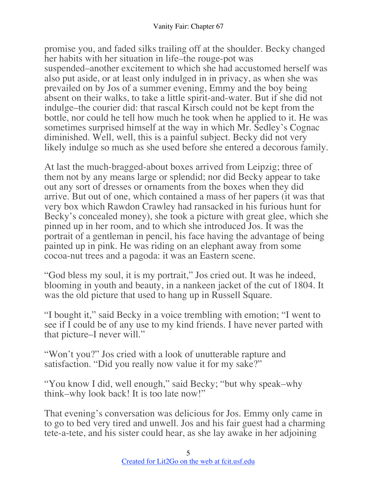promise you, and faded silks trailing off at the shoulder. Becky changed her habits with her situation in life–the rouge-pot was suspended–another excitement to which she had accustomed herself was also put aside, or at least only indulged in in privacy, as when she was prevailed on by Jos of a summer evening, Emmy and the boy being absent on their walks, to take a little spirit-and-water. But if she did not indulge–the courier did: that rascal Kirsch could not be kept from the bottle, nor could he tell how much he took when he applied to it. He was sometimes surprised himself at the way in which Mr. Sedley's Cognac diminished. Well, well, this is a painful subject. Becky did not very likely indulge so much as she used before she entered a decorous family.

At last the much-bragged-about boxes arrived from Leipzig; three of them not by any means large or splendid; nor did Becky appear to take out any sort of dresses or ornaments from the boxes when they did arrive. But out of one, which contained a mass of her papers (it was that very box which Rawdon Crawley had ransacked in his furious hunt for Becky's concealed money), she took a picture with great glee, which she pinned up in her room, and to which she introduced Jos. It was the portrait of a gentleman in pencil, his face having the advantage of being painted up in pink. He was riding on an elephant away from some cocoa-nut trees and a pagoda: it was an Eastern scene.

"God bless my soul, it is my portrait," Jos cried out. It was he indeed, blooming in youth and beauty, in a nankeen jacket of the cut of 1804. It was the old picture that used to hang up in Russell Square.

"I bought it," said Becky in a voice trembling with emotion; "I went to see if I could be of any use to my kind friends. I have never parted with that picture–I never will."

"Won't you?" Jos cried with a look of unutterable rapture and satisfaction. "Did you really now value it for my sake?"

"You know I did, well enough," said Becky; "but why speak–why think–why look back! It is too late now!"

That evening's conversation was delicious for Jos. Emmy only came in to go to bed very tired and unwell. Jos and his fair guest had a charming tete-a-tete, and his sister could hear, as she lay awake in her adjoining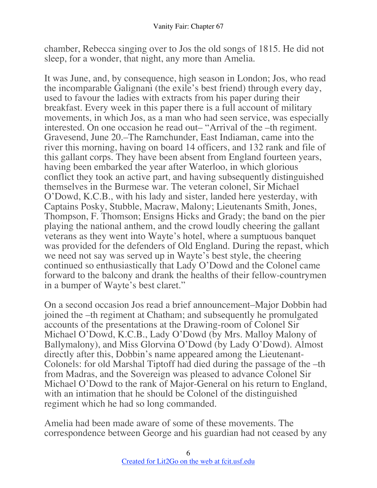chamber, Rebecca singing over to Jos the old songs of 1815. He did not sleep, for a wonder, that night, any more than Amelia.

It was June, and, by consequence, high season in London; Jos, who read the incomparable Galignani (the exile's best friend) through every day, used to favour the ladies with extracts from his paper during their breakfast. Every week in this paper there is a full account of military movements, in which Jos, as a man who had seen service, was especially interested. On one occasion he read out– "Arrival of the –th regiment. Gravesend, June 20.–The Ramchunder, East Indiaman, came into the river this morning, having on board 14 officers, and 132 rank and file of this gallant corps. They have been absent from England fourteen years, having been embarked the year after Waterloo, in which glorious conflict they took an active part, and having subsequently distinguished themselves in the Burmese war. The veteran colonel, Sir Michael O'Dowd, K.C.B., with his lady and sister, landed here yesterday, with Captains Posky, Stubble, Macraw, Malony; Lieutenants Smith, Jones, Thompson, F. Thomson; Ensigns Hicks and Grady; the band on the pier playing the national anthem, and the crowd loudly cheering the gallant veterans as they went into Wayte's hotel, where a sumptuous banquet was provided for the defenders of Old England. During the repast, which we need not say was served up in Wayte's best style, the cheering continued so enthusiastically that Lady O'Dowd and the Colonel came forward to the balcony and drank the healths of their fellow-countrymen in a bumper of Wayte's best claret."

On a second occasion Jos read a brief announcement–Major Dobbin had joined the –th regiment at Chatham; and subsequently he promulgated accounts of the presentations at the Drawing-room of Colonel Sir Michael O'Dowd, K.C.B., Lady O'Dowd (by Mrs. Malloy Malony of Ballymalony), and Miss Glorvina O'Dowd (by Lady O'Dowd). Almost directly after this, Dobbin's name appeared among the Lieutenant-Colonels: for old Marshal Tiptoff had died during the passage of the –th from Madras, and the Sovereign was pleased to advance Colonel Sir Michael O'Dowd to the rank of Major-General on his return to England, with an intimation that he should be Colonel of the distinguished regiment which he had so long commanded.

Amelia had been made aware of some of these movements. The correspondence between George and his guardian had not ceased by any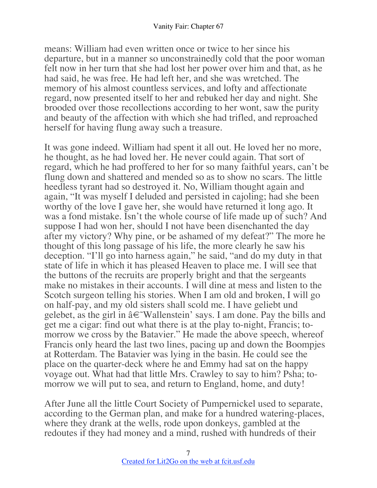means: William had even written once or twice to her since his departure, but in a manner so unconstrainedly cold that the poor woman felt now in her turn that she had lost her power over him and that, as he had said, he was free. He had left her, and she was wretched. The memory of his almost countless services, and lofty and affectionate regard, now presented itself to her and rebuked her day and night. She brooded over those recollections according to her wont, saw the purity and beauty of the affection with which she had trifled, and reproached herself for having flung away such a treasure.

It was gone indeed. William had spent it all out. He loved her no more, he thought, as he had loved her. He never could again. That sort of regard, which he had proffered to her for so many faithful years, can't be flung down and shattered and mended so as to show no scars. The little heedless tyrant had so destroyed it. No, William thought again and again, "It was myself I deluded and persisted in cajoling; had she been worthy of the love I gave her, she would have returned it long ago. It was a fond mistake. Isn't the whole course of life made up of such? And suppose I had won her, should I not have been disenchanted the day after my victory? Why pine, or be ashamed of my defeat?" The more he thought of this long passage of his life, the more clearly he saw his deception. "I'll go into harness again," he said, "and do my duty in that state of life in which it has pleased Heaven to place me. I will see that the buttons of the recruits are properly bright and that the sergeants make no mistakes in their accounts. I will dine at mess and listen to the Scotch surgeon telling his stories. When I am old and broken, I will go on half-pay, and my old sisters shall scold me. I have geliebt und gelebet, as the girl in  $\hat{a} \in W$ allenstein' says. I am done. Pay the bills and get me a cigar: find out what there is at the play to-night, Francis; tomorrow we cross by the Batavier." He made the above speech, whereof Francis only heard the last two lines, pacing up and down the Boompjes at Rotterdam. The Batavier was lying in the basin. He could see the place on the quarter-deck where he and Emmy had sat on the happy voyage out. What had that little Mrs. Crawley to say to him? Psha; tomorrow we will put to sea, and return to England, home, and duty!

After June all the little Court Society of Pumpernickel used to separate, according to the German plan, and make for a hundred watering-places, where they drank at the wells, rode upon donkeys, gambled at the redoutes if they had money and a mind, rushed with hundreds of their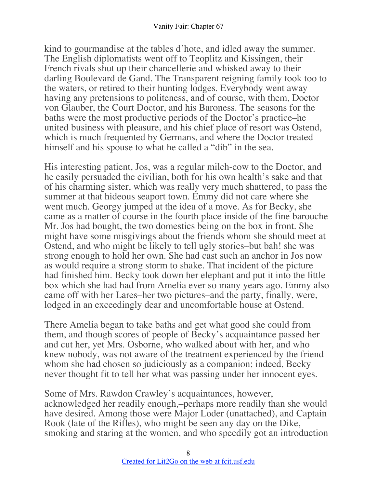kind to gourmandise at the tables d'hote, and idled away the summer. The English diplomatists went off to Teoplitz and Kissingen, their French rivals shut up their chancellerie and whisked away to their darling Boulevard de Gand. The Transparent reigning family took too to the waters, or retired to their hunting lodges. Everybody went away having any pretensions to politeness, and of course, with them, Doctor von Glauber, the Court Doctor, and his Baroness. The seasons for the baths were the most productive periods of the Doctor's practice–he united business with pleasure, and his chief place of resort was Ostend, which is much frequented by Germans, and where the Doctor treated himself and his spouse to what he called a "dib" in the sea.

His interesting patient, Jos, was a regular milch-cow to the Doctor, and he easily persuaded the civilian, both for his own health's sake and that of his charming sister, which was really very much shattered, to pass the summer at that hideous seaport town. Emmy did not care where she went much. Georgy jumped at the idea of a move. As for Becky, she came as a matter of course in the fourth place inside of the fine barouche Mr. Jos had bought, the two domestics being on the box in front. She might have some misgivings about the friends whom she should meet at Ostend, and who might be likely to tell ugly stories–but bah! she was strong enough to hold her own. She had cast such an anchor in Jos now as would require a strong storm to shake. That incident of the picture had finished him. Becky took down her elephant and put it into the little box which she had had from Amelia ever so many years ago. Emmy also came off with her Lares–her two pictures–and the party, finally, were, lodged in an exceedingly dear and uncomfortable house at Ostend.

There Amelia began to take baths and get what good she could from them, and though scores of people of Becky's acquaintance passed her and cut her, yet Mrs. Osborne, who walked about with her, and who knew nobody, was not aware of the treatment experienced by the friend whom she had chosen so judiciously as a companion; indeed, Becky never thought fit to tell her what was passing under her innocent eyes.

Some of Mrs. Rawdon Crawley's acquaintances, however, acknowledged her readily enough,–perhaps more readily than she would have desired. Among those were Major Loder (unattached), and Captain Rook (late of the Rifles), who might be seen any day on the Dike, smoking and staring at the women, and who speedily got an introduction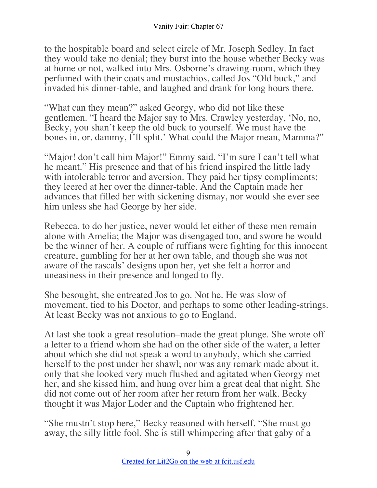to the hospitable board and select circle of Mr. Joseph Sedley. In fact they would take no denial; they burst into the house whether Becky was at home or not, walked into Mrs. Osborne's drawing-room, which they perfumed with their coats and mustachios, called Jos "Old buck," and invaded his dinner-table, and laughed and drank for long hours there.

"What can they mean?" asked Georgy, who did not like these gentlemen. "I heard the Major say to Mrs. Crawley yesterday, 'No, no, Becky, you shan't keep the old buck to yourself. We must have the bones in, or, dammy, I'll split.' What could the Major mean, Mamma?"

"Major! don't call him Major!" Emmy said. "I'm sure I can't tell what he meant." His presence and that of his friend inspired the little lady with intolerable terror and aversion. They paid her tipsy compliments; they leered at her over the dinner-table. And the Captain made her advances that filled her with sickening dismay, nor would she ever see him unless she had George by her side.

Rebecca, to do her justice, never would let either of these men remain alone with Amelia; the Major was disengaged too, and swore he would be the winner of her. A couple of ruffians were fighting for this innocent creature, gambling for her at her own table, and though she was not aware of the rascals' designs upon her, yet she felt a horror and uneasiness in their presence and longed to fly.

She besought, she entreated Jos to go. Not he. He was slow of movement, tied to his Doctor, and perhaps to some other leading-strings. At least Becky was not anxious to go to England.

At last she took a great resolution–made the great plunge. She wrote off a letter to a friend whom she had on the other side of the water, a letter about which she did not speak a word to anybody, which she carried herself to the post under her shawl; nor was any remark made about it, only that she looked very much flushed and agitated when Georgy met her, and she kissed him, and hung over him a great deal that night. She did not come out of her room after her return from her walk. Becky thought it was Major Loder and the Captain who frightened her.

"She mustn't stop here," Becky reasoned with herself. "She must go away, the silly little fool. She is still whimpering after that gaby of a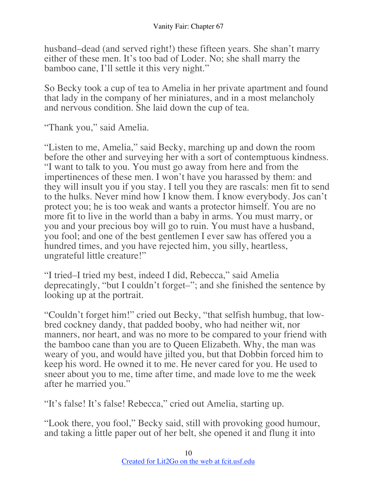husband–dead (and served right!) these fifteen years. She shan't marry either of these men. It's too bad of Loder. No; she shall marry the bamboo cane, I'll settle it this very night."

So Becky took a cup of tea to Amelia in her private apartment and found that lady in the company of her miniatures, and in a most melancholy and nervous condition. She laid down the cup of tea.

"Thank you," said Amelia.

"Listen to me, Amelia," said Becky, marching up and down the room before the other and surveying her with a sort of contemptuous kindness. "I want to talk to you. You must go away from here and from the impertinences of these men. I won't have you harassed by them: and they will insult you if you stay. I tell you they are rascals: men fit to send to the hulks. Never mind how I know them. I know everybody. Jos can't protect you; he is too weak and wants a protector himself. You are no more fit to live in the world than a baby in arms. You must marry, or you and your precious boy will go to ruin. You must have a husband, you fool; and one of the best gentlemen I ever saw has offered you a hundred times, and you have rejected him, you silly, heartless, ungrateful little creature!"

"I tried–I tried my best, indeed I did, Rebecca," said Amelia deprecatingly, "but I couldn't forget–"; and she finished the sentence by looking up at the portrait.

"Couldn't forget him!" cried out Becky, "that selfish humbug, that lowbred cockney dandy, that padded booby, who had neither wit, nor manners, nor heart, and was no more to be compared to your friend with the bamboo cane than you are to Queen Elizabeth. Why, the man was weary of you, and would have jilted you, but that Dobbin forced him to keep his word. He owned it to me. He never cared for you. He used to sneer about you to me, time after time, and made love to me the week after he married you."

"It's false! It's false! Rebecca," cried out Amelia, starting up.

"Look there, you fool," Becky said, still with provoking good humour, and taking a little paper out of her belt, she opened it and flung it into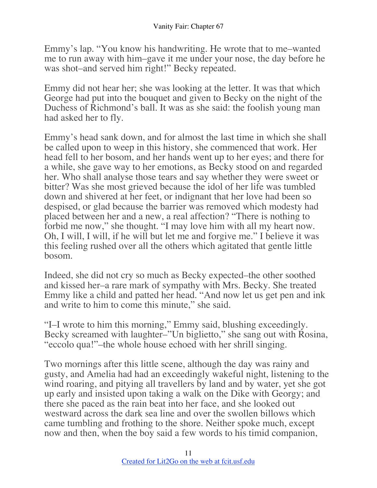Emmy's lap. "You know his handwriting. He wrote that to me–wanted me to run away with him–gave it me under your nose, the day before he was shot–and served him right!" Becky repeated.

Emmy did not hear her; she was looking at the letter. It was that which George had put into the bouquet and given to Becky on the night of the Duchess of Richmond's ball. It was as she said: the foolish young man had asked her to fly.

Emmy's head sank down, and for almost the last time in which she shall be called upon to weep in this history, she commenced that work. Her head fell to her bosom, and her hands went up to her eyes; and there for a while, she gave way to her emotions, as Becky stood on and regarded her. Who shall analyse those tears and say whether they were sweet or bitter? Was she most grieved because the idol of her life was tumbled down and shivered at her feet, or indignant that her love had been so despised, or glad because the barrier was removed which modesty had placed between her and a new, a real affection? "There is nothing to forbid me now," she thought. "I may love him with all my heart now. Oh, I will, I will, if he will but let me and forgive me." I believe it was this feeling rushed over all the others which agitated that gentle little bosom.

Indeed, she did not cry so much as Becky expected–the other soothed and kissed her–a rare mark of sympathy with Mrs. Becky. She treated Emmy like a child and patted her head. "And now let us get pen and ink and write to him to come this minute," she said.

"I–I wrote to him this morning," Emmy said, blushing exceedingly. Becky screamed with laughter–"Un biglietto," she sang out with Rosina, "eccolo qua!"–the whole house echoed with her shrill singing.

Two mornings after this little scene, although the day was rainy and gusty, and Amelia had had an exceedingly wakeful night, listening to the wind roaring, and pitying all travellers by land and by water, yet she got up early and insisted upon taking a walk on the Dike with Georgy; and there she paced as the rain beat into her face, and she looked out westward across the dark sea line and over the swollen billows which came tumbling and frothing to the shore. Neither spoke much, except now and then, when the boy said a few words to his timid companion,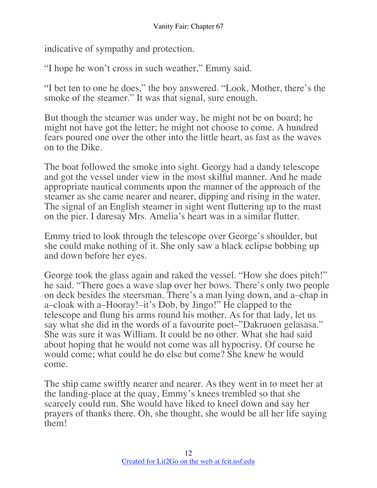indicative of sympathy and protection.

"I hope he won't cross in such weather," Emmy said.

"I bet ten to one he does," the boy answered. "Look, Mother, there's the smoke of the steamer." It was that signal, sure enough.

But though the steamer was under way, he might not be on board; he might not have got the letter; he might not choose to come. A hundred fears poured one over the other into the little heart, as fast as the waves on to the Dike.

The boat followed the smoke into sight. Georgy had a dandy telescope and got the vessel under view in the most skilful manner. And he made appropriate nautical comments upon the manner of the approach of the steamer as she came nearer and nearer, dipping and rising in the water. The signal of an English steamer in sight went fluttering up to the mast on the pier. I daresay Mrs. Amelia's heart was in a similar flutter.

Emmy tried to look through the telescope over George's shoulder, but she could make nothing of it. She only saw a black eclipse bobbing up and down before her eyes.

George took the glass again and raked the vessel. "How she does pitch!" he said. "There goes a wave slap over her bows. There's only two people on deck besides the steersman. There's a man lying down, and a–chap in a–cloak with a–Hooray!–it's Dob, by Jingo!" He clapped to the telescope and flung his arms round his mother. As for that lady, let us say what she did in the words of a favourite poet–"Dakruoen gelasasa." She was sure it was William. It could be no other. What she had said about hoping that he would not come was all hypocrisy. Of course he would come; what could he do else but come? She knew he would come.

The ship came swiftly nearer and nearer. As they went in to meet her at the landing-place at the quay, Emmy's knees trembled so that she scarcely could run. She would have liked to kneel down and say her prayers of thanks there. Oh, she thought, she would be all her life saying them!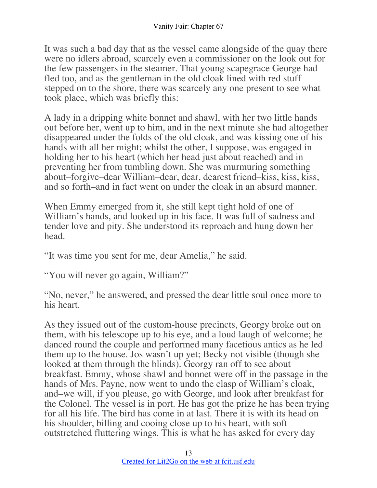It was such a bad day that as the vessel came alongside of the quay there were no idlers abroad, scarcely even a commissioner on the look out for the few passengers in the steamer. That young scapegrace George had fled too, and as the gentleman in the old cloak lined with red stuff stepped on to the shore, there was scarcely any one present to see what took place, which was briefly this:

A lady in a dripping white bonnet and shawl, with her two little hands out before her, went up to him, and in the next minute she had altogether disappeared under the folds of the old cloak, and was kissing one of his hands with all her might; whilst the other, I suppose, was engaged in holding her to his heart (which her head just about reached) and in preventing her from tumbling down. She was murmuring something about–forgive–dear William–dear, dear, dearest friend–kiss, kiss, kiss, and so forth–and in fact went on under the cloak in an absurd manner.

When Emmy emerged from it, she still kept tight hold of one of William's hands, and looked up in his face. It was full of sadness and tender love and pity. She understood its reproach and hung down her head.

"It was time you sent for me, dear Amelia," he said.

"You will never go again, William?"

"No, never," he answered, and pressed the dear little soul once more to his heart.

As they issued out of the custom-house precincts, Georgy broke out on them, with his telescope up to his eye, and a loud laugh of welcome; he danced round the couple and performed many facetious antics as he led them up to the house. Jos wasn't up yet; Becky not visible (though she looked at them through the blinds). Georgy ran off to see about breakfast. Emmy, whose shawl and bonnet were off in the passage in the hands of Mrs. Payne, now went to undo the clasp of William's cloak, and–we will, if you please, go with George, and look after breakfast for the Colonel. The vessel is in port. He has got the prize he has been trying for all his life. The bird has come in at last. There it is with its head on his shoulder, billing and cooing close up to his heart, with soft outstretched fluttering wings. This is what he has asked for every day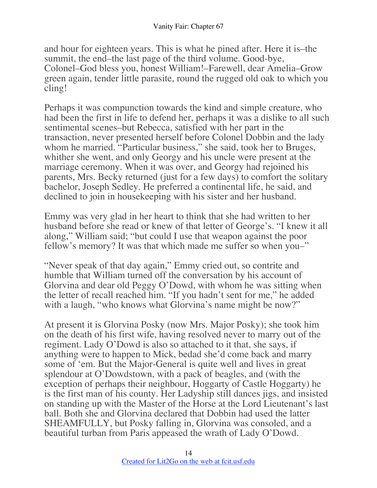and hour for eighteen years. This is what he pined after. Here it is–the summit, the end–the last page of the third volume. Good-bye, Colonel–God bless you, honest William!–Farewell, dear Amelia–Grow green again, tender little parasite, round the rugged old oak to which you cling!

Perhaps it was compunction towards the kind and simple creature, who had been the first in life to defend her, perhaps it was a dislike to all such sentimental scenes–but Rebecca, satisfied with her part in the transaction, never presented herself before Colonel Dobbin and the lady whom he married. "Particular business," she said, took her to Bruges, whither she went, and only Georgy and his uncle were present at the marriage ceremony. When it was over, and Georgy had rejoined his parents, Mrs. Becky returned (just for a few days) to comfort the solitary bachelor, Joseph Sedley. He preferred a continental life, he said, and declined to join in housekeeping with his sister and her husband.

Emmy was very glad in her heart to think that she had written to her husband before she read or knew of that letter of George's. "I knew it all along," William said; "but could I use that weapon against the poor fellow's memory? It was that which made me suffer so when you–"

"Never speak of that day again," Emmy cried out, so contrite and humble that William turned off the conversation by his account of Glorvina and dear old Peggy O'Dowd, with whom he was sitting when the letter of recall reached him. "If you hadn't sent for me," he added with a laugh, "who knows what Glorvina's name might be now?"

At present it is Glorvina Posky (now Mrs. Major Posky); she took him on the death of his first wife, having resolved never to marry out of the regiment. Lady O'Dowd is also so attached to it that, she says, if anything were to happen to Mick, bedad she'd come back and marry some of 'em. But the Major-General is quite well and lives in great splendour at O'Dowdstown, with a pack of beagles, and (with the exception of perhaps their neighbour, Hoggarty of Castle Hoggarty) he is the first man of his county. Her Ladyship still dances jigs, and insisted on standing up with the Master of the Horse at the Lord Lieutenant's last ball. Both she and Glorvina declared that Dobbin had used the latter SHEAMFULLY, but Posky falling in, Glorvina was consoled, and a beautiful turban from Paris appeased the wrath of Lady O'Dowd.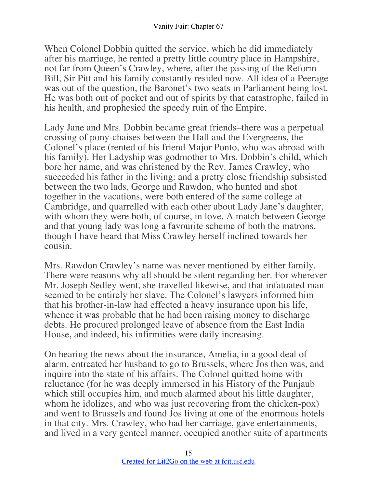When Colonel Dobbin quitted the service, which he did immediately after his marriage, he rented a pretty little country place in Hampshire, not far from Queen's Crawley, where, after the passing of the Reform Bill, Sir Pitt and his family constantly resided now. All idea of a Peerage was out of the question, the Baronet's two seats in Parliament being lost. He was both out of pocket and out of spirits by that catastrophe, failed in his health, and prophesied the speedy ruin of the Empire.

Lady Jane and Mrs. Dobbin became great friends–there was a perpetual crossing of pony-chaises between the Hall and the Evergreens, the Colonel's place (rented of his friend Major Ponto, who was abroad with his family). Her Ladyship was godmother to Mrs. Dobbin's child, which bore her name, and was christened by the Rev. James Crawley, who succeeded his father in the living: and a pretty close friendship subsisted between the two lads, George and Rawdon, who hunted and shot together in the vacations, were both entered of the same college at Cambridge, and quarrelled with each other about Lady Jane's daughter, with whom they were both, of course, in love. A match between George and that young lady was long a favourite scheme of both the matrons, though I have heard that Miss Crawley herself inclined towards her cousin.

Mrs. Rawdon Crawley's name was never mentioned by either family. There were reasons why all should be silent regarding her. For wherever Mr. Joseph Sedley went, she travelled likewise, and that infatuated man seemed to be entirely her slave. The Colonel's lawyers informed him that his brother-in-law had effected a heavy insurance upon his life, whence it was probable that he had been raising money to discharge debts. He procured prolonged leave of absence from the East India House, and indeed, his infirmities were daily increasing.

On hearing the news about the insurance, Amelia, in a good deal of alarm, entreated her husband to go to Brussels, where Jos then was, and inquire into the state of his affairs. The Colonel quitted home with reluctance (for he was deeply immersed in his History of the Punjaub which still occupies him, and much alarmed about his little daughter, whom he idolizes, and who was just recovering from the chicken-pox) and went to Brussels and found Jos living at one of the enormous hotels in that city. Mrs. Crawley, who had her carriage, gave entertainments, and lived in a very genteel manner, occupied another suite of apartments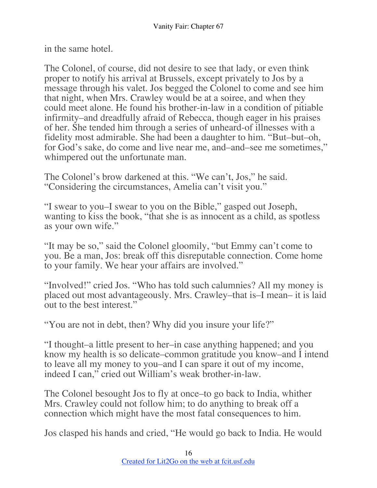in the same hotel.

The Colonel, of course, did not desire to see that lady, or even think proper to notify his arrival at Brussels, except privately to Jos by a message through his valet. Jos begged the Colonel to come and see him that night, when Mrs. Crawley would be at a soiree, and when they could meet alone. He found his brother-in-law in a condition of pitiable infirmity–and dreadfully afraid of Rebecca, though eager in his praises of her. She tended him through a series of unheard-of illnesses with a fidelity most admirable. She had been a daughter to him. "But–but–oh, for God's sake, do come and live near me, and–and–see me sometimes," whimpered out the unfortunate man.

The Colonel's brow darkened at this. "We can't, Jos," he said. "Considering the circumstances, Amelia can't visit you."

"I swear to you–I swear to you on the Bible," gasped out Joseph, wanting to kiss the book, "that she is as innocent as a child, as spotless as your own wife."

"It may be so," said the Colonel gloomily, "but Emmy can't come to you. Be a man, Jos: break off this disreputable connection. Come home to your family. We hear your affairs are involved."

"Involved!" cried Jos. "Who has told such calumnies? All my money is placed out most advantageously. Mrs. Crawley–that is–I mean– it is laid out to the best interest."

"You are not in debt, then? Why did you insure your life?"

"I thought–a little present to her–in case anything happened; and you know my health is so delicate–common gratitude you know–and I intend to leave all my money to you–and I can spare it out of my income, indeed I can," cried out William's weak brother-in-law.

The Colonel besought Jos to fly at once–to go back to India, whither Mrs. Crawley could not follow him; to do anything to break off a connection which might have the most fatal consequences to him.

Jos clasped his hands and cried, "He would go back to India. He would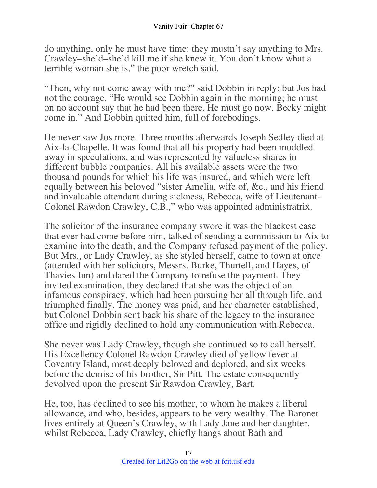do anything, only he must have time: they mustn't say anything to Mrs. Crawley–she'd–she'd kill me if she knew it. You don't know what a terrible woman she is," the poor wretch said.

"Then, why not come away with me?" said Dobbin in reply; but Jos had not the courage. "He would see Dobbin again in the morning; he must on no account say that he had been there. He must go now. Becky might come in." And Dobbin quitted him, full of forebodings.

He never saw Jos more. Three months afterwards Joseph Sedley died at Aix-la-Chapelle. It was found that all his property had been muddled away in speculations, and was represented by valueless shares in different bubble companies. All his available assets were the two thousand pounds for which his life was insured, and which were left equally between his beloved "sister Amelia, wife of, &c., and his friend and invaluable attendant during sickness, Rebecca, wife of Lieutenant-Colonel Rawdon Crawley, C.B.," who was appointed administratrix.

The solicitor of the insurance company swore it was the blackest case that ever had come before him, talked of sending a commission to Aix to examine into the death, and the Company refused payment of the policy. But Mrs., or Lady Crawley, as she styled herself, came to town at once (attended with her solicitors, Messrs. Burke, Thurtell, and Hayes, of Thavies Inn) and dared the Company to refuse the payment. They invited examination, they declared that she was the object of an infamous conspiracy, which had been pursuing her all through life, and triumphed finally. The money was paid, and her character established, but Colonel Dobbin sent back his share of the legacy to the insurance office and rigidly declined to hold any communication with Rebecca.

She never was Lady Crawley, though she continued so to call herself. His Excellency Colonel Rawdon Crawley died of yellow fever at Coventry Island, most deeply beloved and deplored, and six weeks before the demise of his brother, Sir Pitt. The estate consequently devolved upon the present Sir Rawdon Crawley, Bart.

He, too, has declined to see his mother, to whom he makes a liberal allowance, and who, besides, appears to be very wealthy. The Baronet lives entirely at Queen's Crawley, with Lady Jane and her daughter, whilst Rebecca, Lady Crawley, chiefly hangs about Bath and